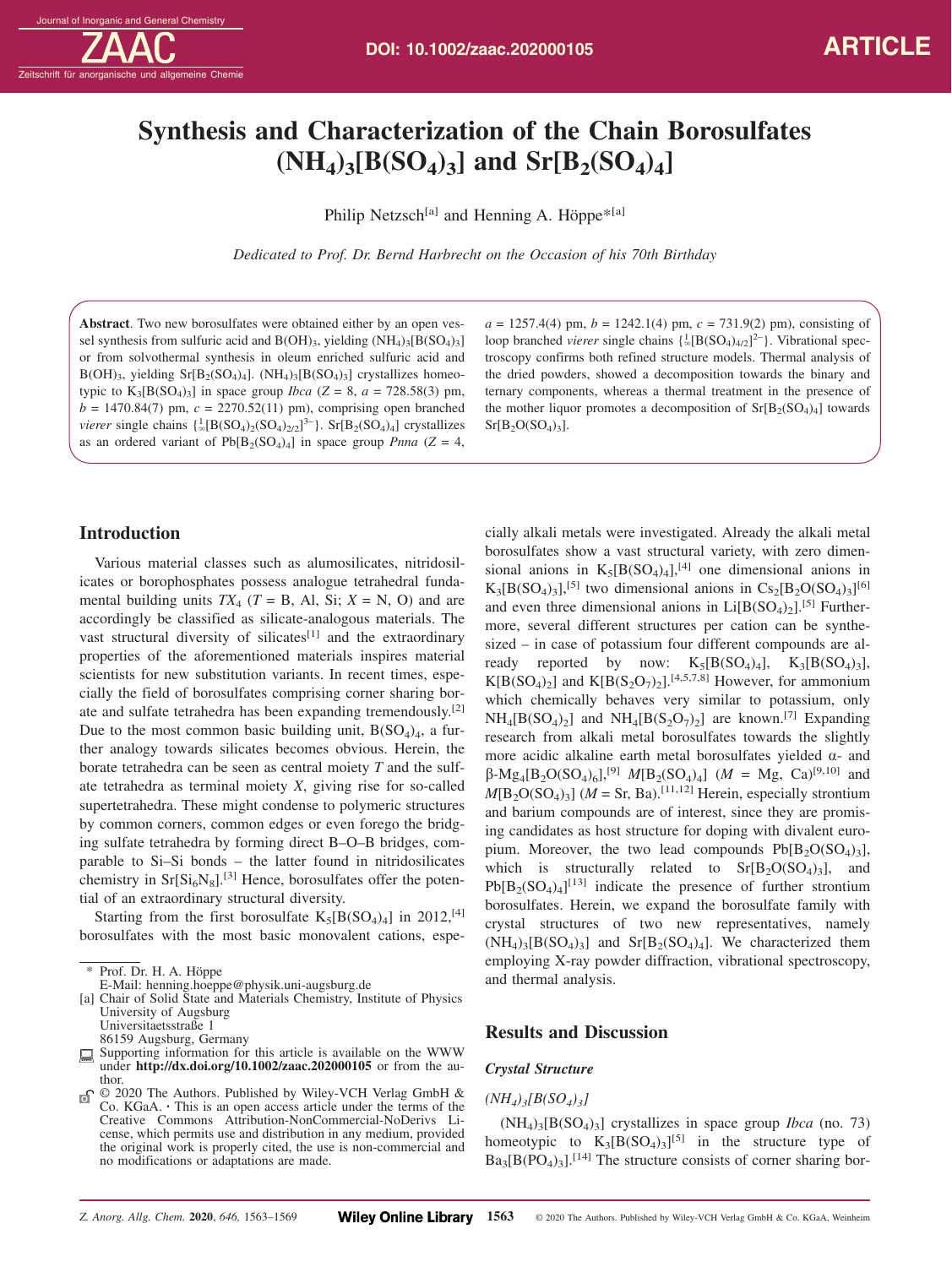# **Synthesis and Characterization of the Chain Borosulfates**  $(NH_4)_3[B(SO_4)_3]$  and  $Sr[B_2(SO_4)_4]$

Philip Netzsch<sup>[a]</sup> and Henning A. Höppe<sup>\*[a]</sup>

*Dedicated to Prof. Dr. Bernd Harbrecht on the Occasion of his 70th Birthday*

**Abstract**. Two new borosulfates were obtained either by an open vessel synthesis from sulfuric acid and  $B(OH)_{3}$ , yielding  $(NH_4)_{3}[B(SO_4)_{3}]$ or from solvothermal synthesis in oleum enriched sulfuric acid and  $B(OH)_{3}$ , yielding  $Sr[B_{2}(SO_{4})_{4}]$ .  $(NH_{4})_{3}[B(SO_{4})_{3}]$  crystallizes homeotypic to  $K_3[B(SO_4)_3]$  in space group *Ibca* ( $Z = 8$ ,  $a = 728.58(3)$  pm,  $b = 1470.84(7)$  pm,  $c = 2270.52(11)$  pm), comprising open branched *vierer* single chains  $\{\frac{1}{\infty} [B(SO_4)_2(SO_4)_{2/2}]^{3-}\}\$ . Sr $[B_2(SO_4)_4]$  crystallizes as an ordered variant of  $Pb[B_2(SO_4)_4]$  in space group *Pnna* ( $Z = 4$ ,

# **Introduction**

Various material classes such as alumosilicates, nitridosilicates or borophosphates possess analogue tetrahedral fundamental building units  $TX_4$  ( $T = B$ , Al, Si;  $X = N$ , O) and are accordingly be classified as silicate-analogous materials. The vast structural diversity of silicates<sup>[1]</sup> and the extraordinary properties of the aforementioned materials inspires material scientists for new substitution variants. In recent times, especially the field of borosulfates comprising corner sharing borate and sulfate tetrahedra has been expanding tremendously.[2] Due to the most common basic building unit,  $B(SO_4)_4$ , a further analogy towards silicates becomes obvious. Herein, the borate tetrahedra can be seen as central moiety *T* and the sulfate tetrahedra as terminal moiety *X*, giving rise for so-called supertetrahedra. These might condense to polymeric structures by common corners, common edges or even forego the bridging sulfate tetrahedra by forming direct B–O–B bridges, comparable to Si–Si bonds – the latter found in nitridosilicates chemistry in  $\rm Sr[Si_6N_8]$ .<sup>[3]</sup> Hence, borosulfates offer the potential of an extraordinary structural diversity.

Starting from the first borosulfate  $K_5[B(SO_4)_4]$  in 2012,<sup>[4]</sup> borosulfates with the most basic monovalent cations, espe-

86159 Augsburg, Germany

 $a = 1257.4(4)$  pm,  $b = 1242.1(4)$  pm,  $c = 731.9(2)$  pm), consisting of loop branched *vierer* single chains  $\{\frac{1}{\infty}[\text{B(SO<sub>4</sub>)<sub>4/2</sub>}]^{2-}\}\$ . Vibrational spectroscopy confirms both refined structure models. Thermal analysis of the dried powders, showed a decomposition towards the binary and ternary components, whereas a thermal treatment in the presence of the mother liquor promotes a decomposition of  $Sr[B_2(SO_4)_4]$  towards  $Sr[B<sub>2</sub>O(SO<sub>4</sub>)<sub>3</sub>].$ 

cially alkali metals were investigated. Already the alkali metal borosulfates show a vast structural variety, with zero dimensional anions in  $K_5[B(SO_4)_4]$ <sup>[4]</sup> one dimensional anions in  $K_3[B(SO_4)_3]$ ,<sup>[5]</sup> two dimensional anions in  $Cs_2[B_2O(SO_4)_3]^{[6]}$ and even three dimensional anions in  $Li[B(SO<sub>4</sub>)<sub>2</sub>]<sup>[5]</sup>$  Furthermore, several different structures per cation can be synthesized – in case of potassium four different compounds are already reported by now:  $K_5[B(SO_4)_4]$ ,  $K_3[B(SO_4)_3]$ ,  $K[B(SO<sub>4</sub>)<sub>2</sub>]$  and  $K[B(S<sub>2</sub>O<sub>7</sub>)<sub>2</sub>].$ <sup>[4,5,7,8]</sup> However, for ammonium which chemically behaves very similar to potassium, only  $NH_4[B(SO_4)_2]$  and  $NH_4[B(S_2O_7)_2]$  are known.<sup>[7]</sup> Expanding research from alkali metal borosulfates towards the slightly more acidic alkaline earth metal borosulfates yielded α- and  $β$ -Mg<sub>4</sub>[B<sub>2</sub>O(SO<sub>4</sub>)<sub>6</sub>],<sup>[9]</sup> *M*[B<sub>2</sub>(SO<sub>4</sub>)<sub>4</sub>] (*M* = Mg, Ca)<sup>[9,10]</sup> and  $M[B_2O(SO_4)_3]$  ( $M =$  Sr, Ba).<sup>[11,12]</sup> Herein, especially strontium and barium compounds are of interest, since they are promising candidates as host structure for doping with divalent europium. Moreover, the two lead compounds  $Pb[B_2O(SO_4)_3]$ , which is structurally related to  $Sr[B_2O(SO_4)_3]$ , and  $Pb[B_2(SO_4)_4]^{[13]}$  indicate the presence of further strontium borosulfates. Herein, we expand the borosulfate family with crystal structures of two new representatives, namely  $(NH_4)_{3} [B(SO_4)_3]$  and  $Sr[B_2(SO_4)_4]$ . We characterized them employing X-ray powder diffraction, vibrational spectroscopy, and thermal analysis.

## **Results and Discussion**

### *Crystal Structure*

# *(NH4)3[B(SO4)3]*

 $(NH_4)_{3} [B(SO_4)_3]$  crystallizes in space group *Ibca* (no. 73) homeotypic to  $K_3[B(SO_4)_3]^{[5]}$  in the structure type of  $Ba_3[B(PO_4)_3]$ .<sup>[14]</sup> The structure consists of corner sharing bor-

<sup>\*</sup> Prof. Dr. H. A. Höppe

E-Mail: henning.hoeppe@physik.uni-augsburg.de

<sup>[</sup>a] Chair of Solid State and Materials Chemistry, Institute of Physics University of Augsburg Universitaetsstraße 1

Supporting information for this article is available on the WWW under **http://dx.doi.org/10.1002/zaac.202000105** or from the author.

<sup>© 2020</sup> The Authors. Published by Wiley-VCH Verlag GmbH & ெ Co. KGaA. **·** This is an open access article under the terms of the Creative Commons Attribution-NonCommercial-NoDerivs License, which permits use and distribution in any medium, provided the original work is properly cited, the use is non-commercial and no modifications or adaptations are made.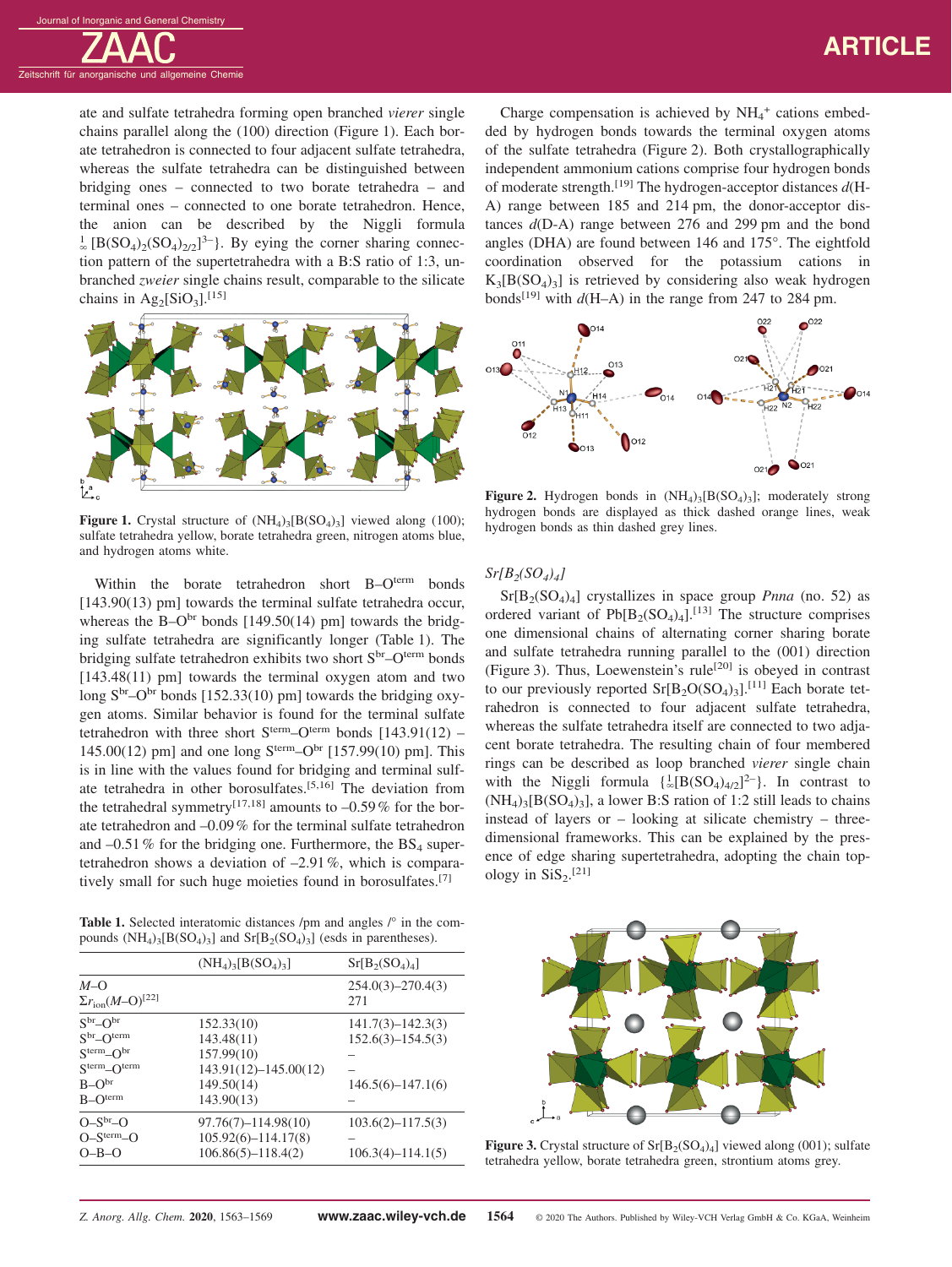# **ARTICLE**

ate and sulfate tetrahedra forming open branched *vierer* single chains parallel along the (100) direction (Figure 1). Each borate tetrahedron is connected to four adjacent sulfate tetrahedra, whereas the sulfate tetrahedra can be distinguished between bridging ones – connected to two borate tetrahedra – and terminal ones – connected to one borate tetrahedron. Hence, the anion can be described by the Niggli formula  $\frac{1}{2}$  [B(SO<sub>4</sub>)<sub>2</sub>(SO<sub>4</sub>)<sub>2/2</sub>]<sup>3-</sup>]. By eying the corner sharing connection pattern of the supertetrahedra with a B:S ratio of 1:3, unbranched *zweier* single chains result, comparable to the silicate chains in  $\text{Ag}_2[\text{SiO}_3]$ .<sup>[15]</sup>



**Figure 1.** Crystal structure of  $(NH_4)_{3}[B(SO_4)_3]$  viewed along (100); sulfate tetrahedra yellow, borate tetrahedra green, nitrogen atoms blue, and hydrogen atoms white.

Within the borate tetrahedron short B-Oterm bonds [143.90(13) pm] towards the terminal sulfate tetrahedra occur, whereas the B–O<sup>br</sup> bonds [149.50(14) pm] towards the bridging sulfate tetrahedra are significantly longer (Table 1). The bridging sulfate tetrahedron exhibits two short S<sup>br</sup>–O<sup>term</sup> bonds [143.48(11) pm] towards the terminal oxygen atom and two long  $S<sup>br</sup>$ -O<sup>br</sup> bonds [152.33(10) pm] towards the bridging oxygen atoms. Similar behavior is found for the terminal sulfate tetrahedron with three short  $S^{term}-O^{term}$  bonds  $[143.91(12)$  -145.00(12) pm] and one long  $S^{term}$ – $O^{br}$  [157.99(10) pm]. This is in line with the values found for bridging and terminal sulfate tetrahedra in other borosulfates.[5,16] The deviation from the tetrahedral symmetry<sup>[17,18]</sup> amounts to  $-0.59\%$  for the borate tetrahedron and –0.09% for the terminal sulfate tetrahedron and  $-0.51\%$  for the bridging one. Furthermore, the BS<sub>4</sub> supertetrahedron shows a deviation of –2.91%, which is comparatively small for such huge moieties found in borosulfates.<sup>[7]</sup>

Table 1. Selected interatomic distances /pm and angles /° in the compounds  $(NH_4)_3[B(SO_4)_3]$  and  $Sr[B_2(SO_4)_3]$  (esds in parentheses).

|                                                                                                      | $(NH_4)$ <sub>3</sub> $[B(SO_4)$ <sub>3</sub> ]                                                 | $Sr[B_2(SO_4)_4]$                                                       |
|------------------------------------------------------------------------------------------------------|-------------------------------------------------------------------------------------------------|-------------------------------------------------------------------------|
| $M=O$<br>$\Sigma r_{\rm ion} (M - O)^{[22]}$                                                         |                                                                                                 | $254.0(3)-270.4(3)$<br>271                                              |
| $Sbr-Obr$<br>$Sbr-Oterm$<br>$S^{term}$ - $O^{br}$<br>$S^{term}$ - $O^{term}$<br>$B-Obr$<br>$B-Oterm$ | 152.33(10)<br>143.48(11)<br>157.99(10)<br>$143.91(12) - 145.00(12)$<br>149.50(14)<br>143.90(13) | $141.7(3) - 142.3(3)$<br>$152.6(3) - 154.5(3)$<br>$146.5(6) - 147.1(6)$ |
| $O-S^{br}-O$<br>$O-Sterm-O$<br>$O-B-O$                                                               | $97.76(7) - 114.98(10)$<br>$105.92(6) - 114.17(8)$<br>$106.86(5) - 118.4(2)$                    | $103.6(2) - 117.5(3)$<br>$106.3(4) - 114.1(5)$                          |

Charge compensation is achieved by  $NH_4^+$  cations embedded by hydrogen bonds towards the terminal oxygen atoms of the sulfate tetrahedra (Figure 2). Both crystallographically independent ammonium cations comprise four hydrogen bonds of moderate strength.[19] The hydrogen-acceptor distances *d*(H-A) range between 185 and 214 pm, the donor-acceptor distances *d*(D-A) range between 276 and 299 pm and the bond angles (DHA) are found between 146 and 175°. The eightfold coordination observed for the potassium cations in  $K_3[B(SO_4)_3]$  is retrieved by considering also weak hydrogen bonds<sup>[19]</sup> with  $d(H-A)$  in the range from 247 to 284 pm.



**Figure 2.** Hydrogen bonds in  $(NH_4)_{3} [B(SO_4)_{3}]$ ; moderately strong hydrogen bonds are displayed as thick dashed orange lines, weak hydrogen bonds as thin dashed grey lines.

#### $Sr[B_2(SO_4)_4]$

 $Sr[B_2(SO_4)_4]$  crystallizes in space group *Pnna* (no. 52) as ordered variant of  $Pb[B_2(SO_4)_4]$ .<sup>[13]</sup> The structure comprises one dimensional chains of alternating corner sharing borate and sulfate tetrahedra running parallel to the (001) direction (Figure 3). Thus, Loewenstein's rule<sup>[20]</sup> is obeyed in contrast to our previously reported  $Sr[B_2O(SO_4)_3]$ .<sup>[11]</sup> Each borate tetrahedron is connected to four adjacent sulfate tetrahedra, whereas the sulfate tetrahedra itself are connected to two adjacent borate tetrahedra. The resulting chain of four membered rings can be described as loop branched *vierer* single chain with the Niggli formula  $\{\frac{1}{\infty} [B(SO_4)_{4/2}]^{2-}\}\$ . In contrast to  $(NH_4)$ <sub>3</sub>[B(SO<sub>4</sub>)<sub>3</sub>], a lower B:S ration of 1:2 still leads to chains instead of layers or – looking at silicate chemistry – threedimensional frameworks. This can be explained by the presence of edge sharing supertetrahedra, adopting the chain topology in  $SiS_2$ .<sup>[21]</sup>



**Figure 3.** Crystal structure of  $Sr[B_2(SO_4)_4]$  viewed along (001); sulfate tetrahedra yellow, borate tetrahedra green, strontium atoms grey.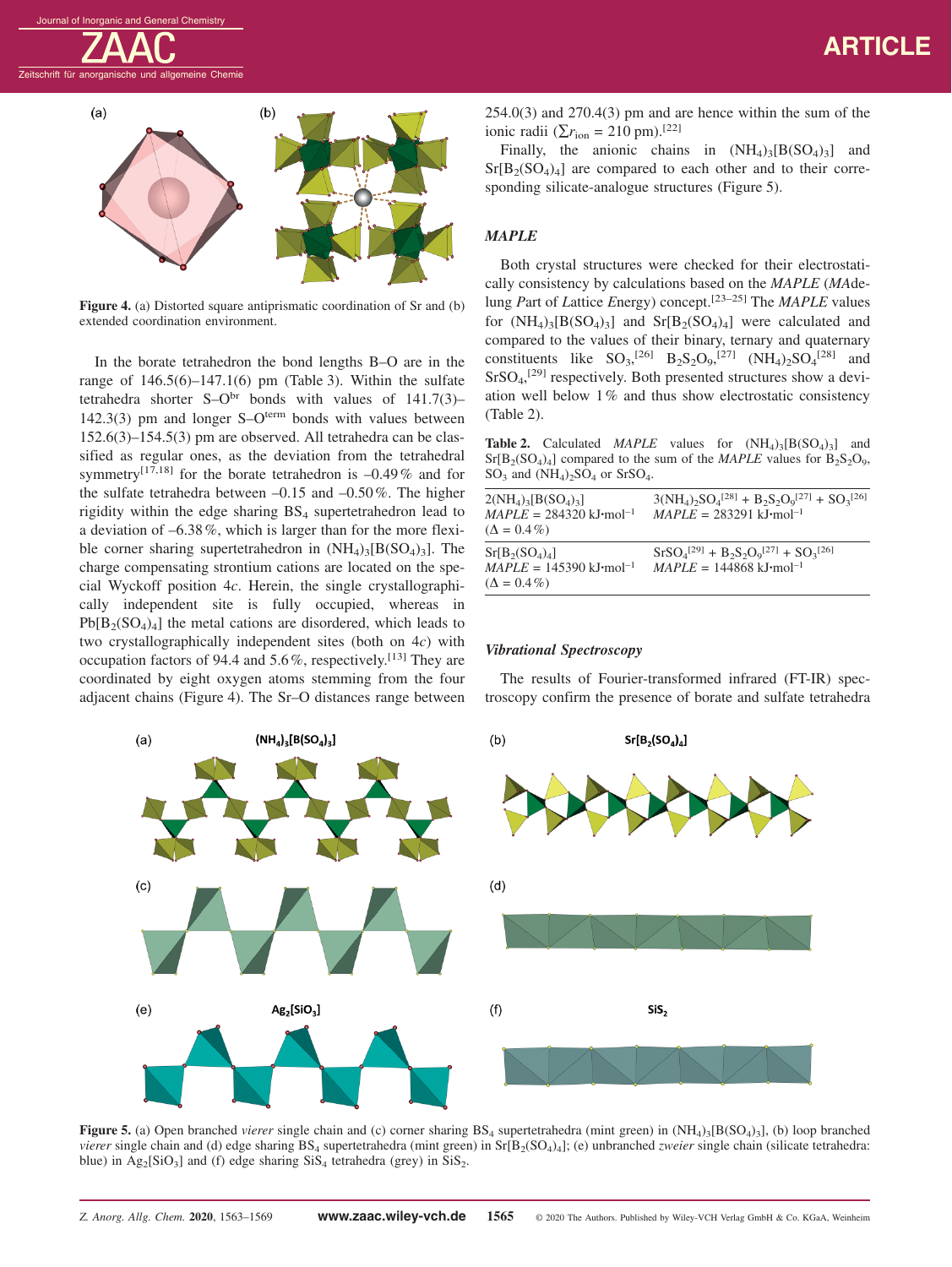

**Figure 4.** (a) Distorted square antiprismatic coordination of Sr and (b) extended coordination environment.

In the borate tetrahedron the bond lengths B–O are in the range of  $146.5(6) - 147.1(6)$  pm (Table 3). Within the sulfate tetrahedra shorter  $S-O<sup>br</sup>$  bonds with values of  $141.7(3)$ - $142.3(3)$  pm and longer S–O<sup>term</sup> bonds with values between 152.6(3)–154.5(3) pm are observed. All tetrahedra can be classified as regular ones, as the deviation from the tetrahedral symmetry<sup>[17,18]</sup> for the borate tetrahedron is  $-0.49\%$  and for the sulfate tetrahedra between  $-0.15$  and  $-0.50\%$ . The higher rigidity within the edge sharing  $BS_4$  supertetrahedron lead to a deviation of –6.38%, which is larger than for the more flexible corner sharing supertetrahedron in  $(NH_4)_{3}[B(SO_4)_3]$ . The charge compensating strontium cations are located on the special Wyckoff position 4*c*. Herein, the single crystallographically independent site is fully occupied, whereas in  $Pb[B_2(SO_4)_4]$  the metal cations are disordered, which leads to two crystallographically independent sites (both on 4*c*) with occupation factors of 94.4 and  $5.6\%$ , respectively.<sup>[13]</sup> They are coordinated by eight oxygen atoms stemming from the four adjacent chains (Figure 4). The Sr–O distances range between  $254.0(3)$  and  $270.4(3)$  pm and are hence within the sum of the ionic radii ( $\Sigma r$ <sub>ion</sub> = 210 pm).<sup>[22]</sup>

Finally, the anionic chains in  $(NH_4)_3[B(SO_4)_3]$  and  $Sr[B_2(SO_4)_4]$  are compared to each other and to their corresponding silicate-analogue structures (Figure 5).

## *MAPLE*

Both crystal structures were checked for their electrostatically consistency by calculations based on the *MAPLE* (*MA*delung *P*art of *L*attice *E*nergy) concept.[23–25] The *MAPLE* values for  $(NH_4)_3[B(SO_4)_3]$  and  $Sr[B_2(SO_4)_4]$  were calculated and compared to the values of their binary, ternary and quaternary constituents like  $SO_3$ <sup>[26]</sup>  $B_2S_2O_9$ <sup>[27]</sup>  $(NH_4)_2SO_4^{[28]}$  and SrSO4, [29] respectively. Both presented structures show a deviation well below 1% and thus show electrostatic consistency (Table 2).

**Table 2.** Calculated *MAPLE* values for  $(NH_4)_{3}[B(SO_4)_3]$  and  $Sr[B_2(SO_4)_4]$  compared to the sum of the *MAPLE* values for  $B_2S_2O_9$ ,  $SO_3$  and  $(NH_4)_2SO_4$  or  $SrSO_4$ .

| $2(NH_4)$ <sub>3</sub> [B(SO <sub>4</sub> ) <sub>3</sub> ]<br>$MAPLE = 284320 kJ/mol^{-1}$<br>$(\Delta = 0.4\%)$ | $3(NH_4)_2SO_4^{[28]} + B_2S_2O_9^{[27]} + SO_3^{[26]}$<br>$MAPLE = 283291 kJ \cdot mol^{-1}$ |
|------------------------------------------------------------------------------------------------------------------|-----------------------------------------------------------------------------------------------|
| $Sr[B2(SO4)4]$<br>$MAPLE = 145390 \text{ kJ·mol}^{-1}$<br>$(\Delta = 0.4\%)$                                     | $SrSO4[29] + B2S2O9[27] + SO3[26]$<br>$MAPLE = 144868 \text{ kJ·mol}^{-1}$                    |

### *Vibrational Spectroscopy*

The results of Fourier-transformed infrared (FT-IR) spectroscopy confirm the presence of borate and sulfate tetrahedra



**Figure 5.** (a) Open branched *vierer* single chain and (c) corner sharing BS<sub>4</sub> supertetrahedra (mint green) in  $(NH_4)_3[B(SO_4)_3]$ , (b) loop branched *vierer* single chain and (d) edge sharing BS<sub>4</sub> supertetrahedra (mint green) in Sr[B<sub>2</sub>(SO<sub>4</sub>)<sub>4</sub>]; (e) unbranched *zweier* single chain (silicate tetrahedra: blue) in  $Ag_2[SiO_3]$  and (f) edge sharing  $SiS_4$  tetrahedra (grey) in  $SiS_2$ .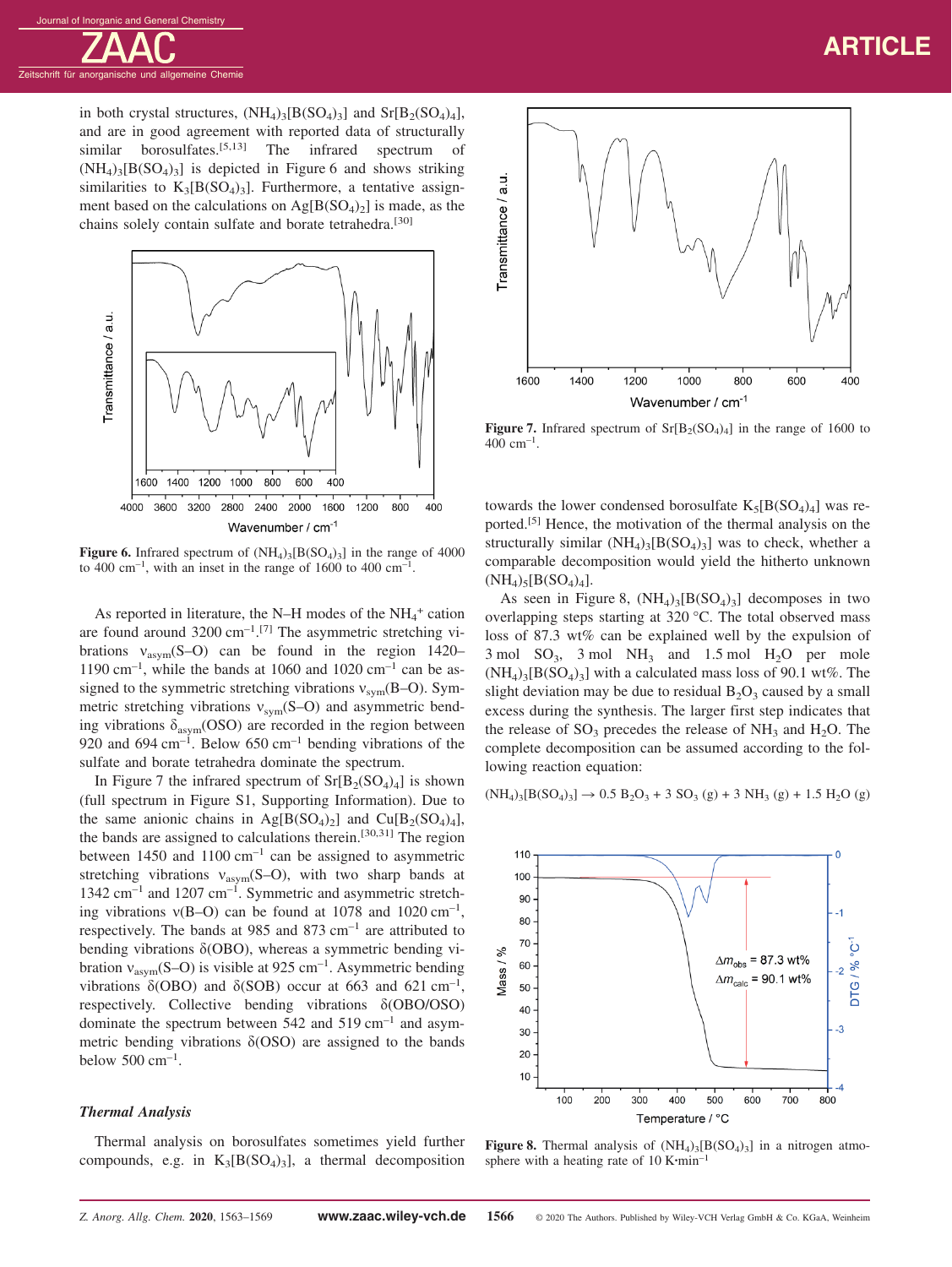in both crystal structures,  $(NH_4)_{3} [B(SO_4)_3]$  and  $Sr[B_2(SO_4)_4]$ , and are in good agreement with reported data of structurally similar borosulfates.<sup>[5,13]</sup> The infrared spectrum of  $(NH_4)_{3}[B(SO_4)_3]$  is depicted in Figure 6 and shows striking similarities to  $K_3[B(SO_4)_3]$ . Furthermore, a tentative assignment based on the calculations on  $Ag[B(SO_4)_2]$  is made, as the chains solely contain sulfate and borate tetrahedra.<sup>[30]</sup>



**Figure 6.** Infrared spectrum of  $(NH_4)_{3} [B(SO_4)_3]$  in the range of 4000 to 400 cm<sup>-1</sup>, with an inset in the range of 1600 to 400 cm<sup>-1</sup>.

As reported in literature, the N-H modes of the  $NH_4^+$  cation are found around  $3200 \text{ cm}^{-1}$ .<sup>[7]</sup> The asymmetric stretching vibrations  $v_{asym}(S-O)$  can be found in the region 1420– 1190 cm<sup>-1</sup>, while the bands at 1060 and 1020 cm<sup>-1</sup> can be assigned to the symmetric stretching vibrations  $v_{sym}(B-O)$ . Symmetric stretching vibrations  $v_{sym}(S-O)$  and asymmetric bending vibrations  $\delta_{\text{asym}}$ (OSO) are recorded in the region between 920 and 694  $cm^{-1}$ . Below 650  $cm^{-1}$  bending vibrations of the sulfate and borate tetrahedra dominate the spectrum.

In Figure 7 the infrared spectrum of  $Sr[B_2(SO_4)_4]$  is shown (full spectrum in Figure S1, Supporting Information). Due to the same anionic chains in Ag[B(SO<sub>4</sub>)<sub>2</sub>] and Cu[B<sub>2</sub>(SO<sub>4</sub>)<sub>4</sub>], the bands are assigned to calculations therein.<sup>[30,31]</sup> The region between 1450 and 1100  $cm^{-1}$  can be assigned to asymmetric stretching vibrations  $v_{asym}(S-O)$ , with two sharp bands at  $1342$  cm<sup>-1</sup> and  $1207$  cm<sup>-1</sup>. Symmetric and asymmetric stretching vibrations  $v(B-O)$  can be found at 1078 and 1020 cm<sup>-1</sup>, respectively. The bands at 985 and 873  $cm^{-1}$  are attributed to bending vibrations δ(OBO), whereas a symmetric bending vibration  $v_{\text{asym}}(S-O)$  is visible at 925 cm<sup>-1</sup>. Asymmetric bending vibrations δ(OBO) and δ(SOB) occur at 663 and 621 cm<sup>-1</sup>, respectively. Collective bending vibrations δ(OBO/OSO) dominate the spectrum between  $542$  and  $519$  cm<sup>-1</sup> and asymmetric bending vibrations  $\delta$ (OSO) are assigned to the bands below  $500 \text{ cm}^{-1}$ .

#### *Thermal Analysis*

Thermal analysis on borosulfates sometimes yield further compounds, e.g. in  $K_3[B(SO_4)_3]$ , a thermal decomposition



**Figure 7.** Infrared spectrum of  $Sr[B_2(SO_4)_4]$  in the range of 1600 to  $400 \text{ cm}^{-1}$ .

towards the lower condensed borosulfate  $K_5[B(SO_4)_4]$  was reported.<sup>[5]</sup> Hence, the motivation of the thermal analysis on the structurally similar  $(NH_4)_3[B(SO_4)_3]$  was to check, whether a comparable decomposition would yield the hitherto unknown  $(NH_4)_{5} [B(SO_4)_4].$ 

As seen in Figure 8,  $(NH<sub>4</sub>)<sub>3</sub>[B(SO<sub>4</sub>)<sub>3</sub>]$  decomposes in two overlapping steps starting at 320 °C. The total observed mass loss of 87.3 wt% can be explained well by the expulsion of  $3 \text{ mol } SO_3$ ,  $3 \text{ mol } NH_3$  and  $1.5 \text{ mol } H_2O$  per mole  $(NH_4)_{3}[B(SO_4)_3]$  with a calculated mass loss of 90.1 wt%. The slight deviation may be due to residual  $B_2O_3$  caused by a small excess during the synthesis. The larger first step indicates that the release of  $SO_3$  precedes the release of  $NH_3$  and  $H_2O$ . The complete decomposition can be assumed according to the following reaction equation:

$$
(NH_4)_3[B(SO_4)_3] \to 0.5 B_2O_3 + 3 SO_3(g) + 3 NH_3(g) + 1.5 H_2O(g)
$$



**Figure 8.** Thermal analysis of  $(NH_4)_3[B(SO_4)_3]$  in a nitrogen atmosphere with a heating rate of 10 K**·**min–1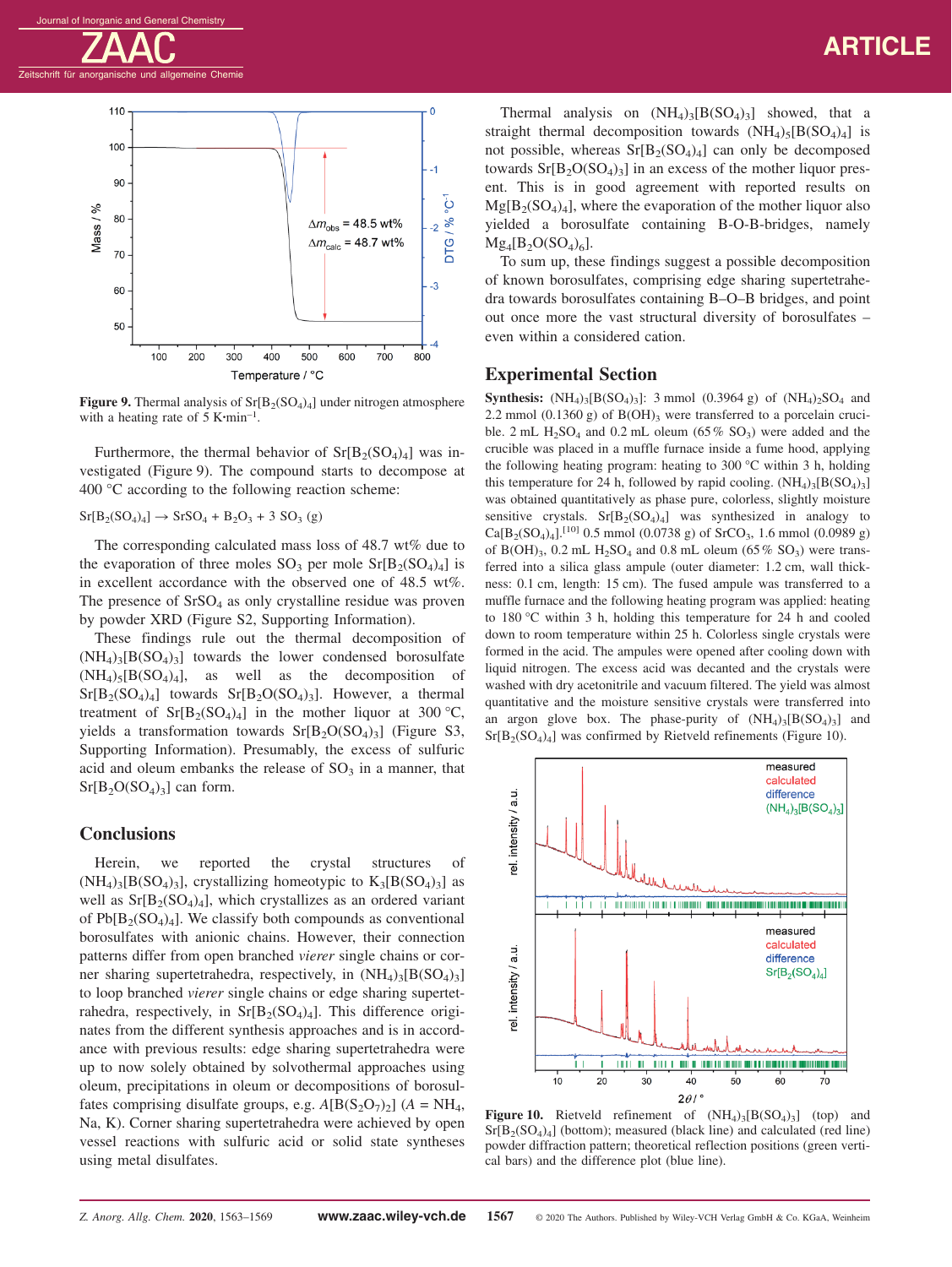

**Figure 9.** Thermal analysis of  $Sr[B_2(SO_4)_4]$  under nitrogen atmosphere with a heating rate of 5 K**·**min–1.

Furthermore, the thermal behavior of  $Sr[B_2(SO_4)_4]$  was investigated (Figure 9). The compound starts to decompose at 400 °C according to the following reaction scheme:

 $Sr[B_2(SO_4)_4] \rightarrow SrSO_4 + B_2O_3 + 3 SO_3$  (g)

The corresponding calculated mass loss of 48.7 wt% due to the evaporation of three moles  $SO_3$  per mole  $Sr[B_2(SO_4)_4]$  is in excellent accordance with the observed one of 48.5 wt%. The presence of  $SrSO<sub>4</sub>$  as only crystalline residue was proven by powder XRD (Figure S2, Supporting Information).

These findings rule out the thermal decomposition of  $(NH_4)_{3} [B(SO_4)_3]$  towards the lower condensed borosulfate  $(NH_4)_{5} [B(SO_4)_4]$ , as well as the decomposition of  $Sr[B_2(SO_4)_4]$  towards  $Sr[B_2O(SO_4)_3]$ . However, a thermal treatment of  $Sr[B_2(SO_4)_4]$  in the mother liquor at 300 °C, yields a transformation towards  $Sr[B_2O(SO_4)_3]$  (Figure S3, Supporting Information). Presumably, the excess of sulfuric acid and oleum embanks the release of  $SO<sub>3</sub>$  in a manner, that  $Sr[B_2O(SO_4)_3]$  can form.

# **Conclusions**

Herein, we reported the crystal structures of  $(NH_4)_3[B(SO_4)_3]$ , crystallizing homeotypic to  $K_3[B(SO_4)_3]$  as well as  $Sr[B_2(SO_4)_4]$ , which crystallizes as an ordered variant of  $Pb[B_2(SO_4)_4]$ . We classify both compounds as conventional borosulfates with anionic chains. However, their connection patterns differ from open branched *vierer* single chains or corner sharing supertetrahedra, respectively, in  $(NH_4)_{3} [B(SO_4)_3]$ to loop branched *vierer* single chains or edge sharing supertetrahedra, respectively, in  $Sr[B_2(SO_4)_4]$ . This difference originates from the different synthesis approaches and is in accordance with previous results: edge sharing supertetrahedra were up to now solely obtained by solvothermal approaches using oleum, precipitations in oleum or decompositions of borosulfates comprising disulfate groups, e.g.  $A[B(S_2O_7)_2]$  ( $A = NH_4$ , Na, K). Corner sharing supertetrahedra were achieved by open vessel reactions with sulfuric acid or solid state syntheses using metal disulfates.

Thermal analysis on  $(NH_4)_{3}[B(SO_4)_3]$  showed, that a straight thermal decomposition towards  $(NH<sub>4</sub>)<sub>5</sub>[B(SO<sub>4</sub>)<sub>4</sub>]$  is not possible, whereas  $Sr[B_2(SO_4)_4]$  can only be decomposed towards  $Sr[B_2O(SO_4)_3]$  in an excess of the mother liquor present. This is in good agreement with reported results on  $Mg[B_2(SO_4)_4]$ , where the evaporation of the mother liquor also yielded a borosulfate containing B-O-B-bridges, namely  $Mg_4[B_2O(SO_4)_6].$ 

To sum up, these findings suggest a possible decomposition of known borosulfates, comprising edge sharing supertetrahedra towards borosulfates containing B–O–B bridges, and point out once more the vast structural diversity of borosulfates – even within a considered cation.

### **Experimental Section**

**Synthesis:**  $(NH_4)$ <sub>3</sub> $[B(SO_4)$ <sub>3</sub> $]:$  3 mmol  $(0.3964 \text{ g})$  of  $(NH_4)$ <sub>2</sub> $SO_4$  and 2.2 mmol  $(0.1360 \text{ g})$  of  $B(OH)$ <sub>3</sub> were transferred to a porcelain crucible. 2 mL  $H_2SO_4$  and 0.2 mL oleum (65% SO<sub>3</sub>) were added and the crucible was placed in a muffle furnace inside a fume hood, applying the following heating program: heating to 300  $\degree$ C within 3 h, holding this temperature for 24 h, followed by rapid cooling.  $(NH_4)_{3}[B(SO_4)_3]$ was obtained quantitatively as phase pure, colorless, slightly moisture sensitive crystals.  $Sr[B_2(SO_4)_4]$  was synthesized in analogy to  $Ca[B_2(SO_4)_4]$ .<sup>[10]</sup> 0.5 mmol (0.0738 g) of SrCO<sub>3</sub>, 1.6 mmol (0.0989 g) of B(OH)<sub>3</sub>, 0.2 mL H<sub>2</sub>SO<sub>4</sub> and 0.8 mL oleum (65% SO<sub>3</sub>) were transferred into a silica glass ampule (outer diameter: 1.2 cm, wall thickness: 0.1 cm, length: 15 cm). The fused ampule was transferred to a muffle furnace and the following heating program was applied: heating to 180 °C within 3 h, holding this temperature for 24 h and cooled down to room temperature within 25 h. Colorless single crystals were formed in the acid. The ampules were opened after cooling down with liquid nitrogen. The excess acid was decanted and the crystals were washed with dry acetonitrile and vacuum filtered. The yield was almost quantitative and the moisture sensitive crystals were transferred into an argon glove box. The phase-purity of  $(NH<sub>4</sub>)<sub>3</sub>[B(SO<sub>4</sub>)<sub>3</sub>]$  and  $Sr[B_2(SO_4)_4]$  was confirmed by Rietveld refinements (Figure 10).



**Figure 10.** Rietveld refinement of  $(NH_4)_{3}[B(SO_4)_3]$  (top) and  $Sr[B<sub>2</sub>(SO<sub>4</sub>)<sub>4</sub>]$  (bottom); measured (black line) and calculated (red line) powder diffraction pattern; theoretical reflection positions (green vertical bars) and the difference plot (blue line).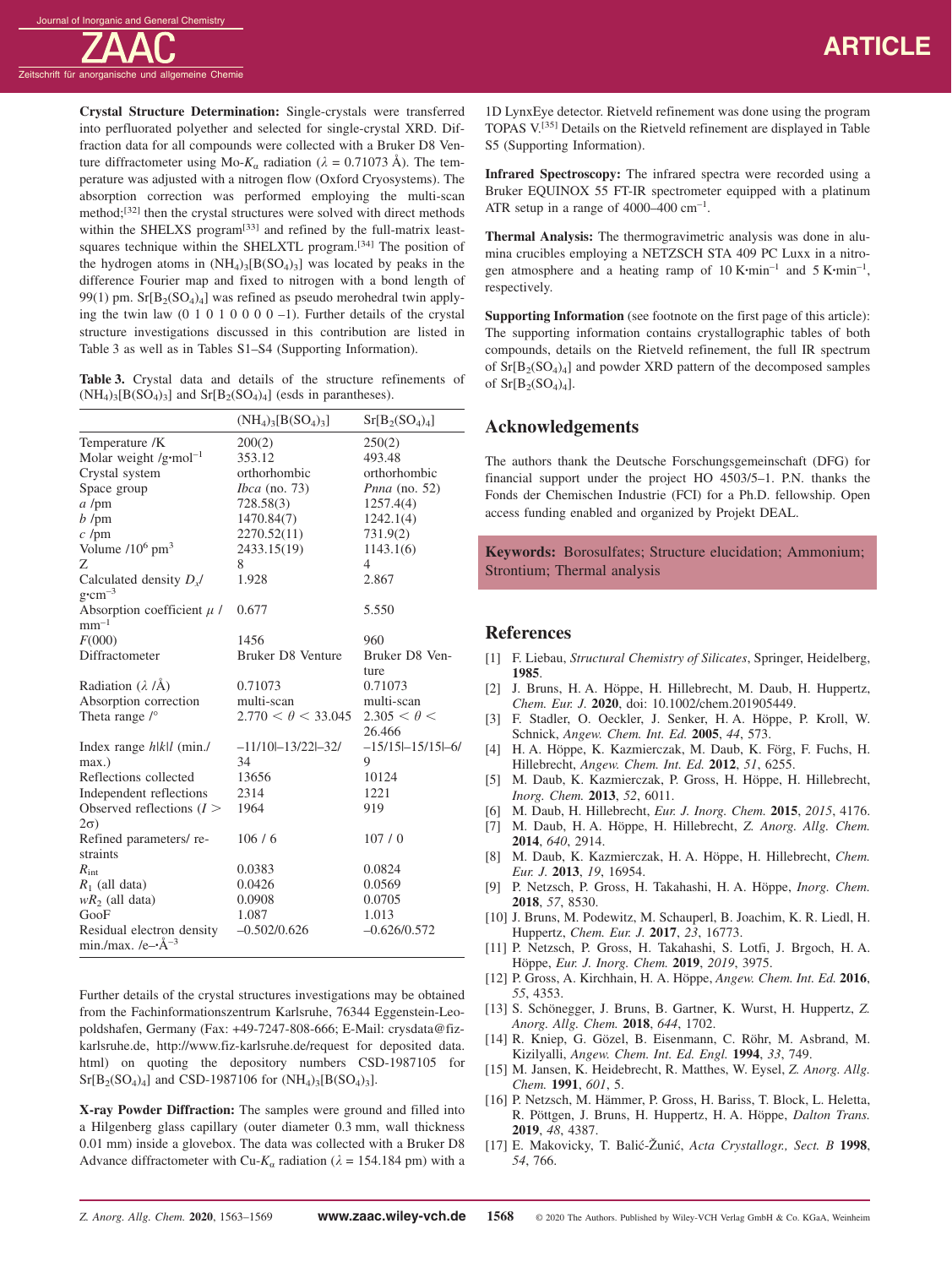

**Crystal Structure Determination:** Single-crystals were transferred into perfluorated polyether and selected for single-crystal XRD. Diffraction data for all compounds were collected with a Bruker D8 Venture diffractometer using Mo- $K_a$  radiation ( $\lambda = 0.71073$  Å). The temperature was adjusted with a nitrogen flow (Oxford Cryosystems). The absorption correction was performed employing the multi-scan method;[32] then the crystal structures were solved with direct methods within the SHELXS program<sup>[33]</sup> and refined by the full-matrix leastsquares technique within the SHELXTL program.[34] The position of the hydrogen atoms in  $(NH_4)_3[B(SO_4)_3]$  was located by peaks in the difference Fourier map and fixed to nitrogen with a bond length of 99(1) pm.  $Sr[B_2(SO_4)_4]$  was refined as pseudo merohedral twin applying the twin law  $(0 1 0 1 0 0 0 0 -1)$ . Further details of the crystal structure investigations discussed in this contribution are listed in Table 3 as well as in Tables S1–S4 (Supporting Information).

|  |  |  |                                                                                                                                          | <b>Table 3.</b> Crystal data and details of the structure refinements of |  |
|--|--|--|------------------------------------------------------------------------------------------------------------------------------------------|--------------------------------------------------------------------------|--|
|  |  |  | $(NH_4)$ <sub>3</sub> [B(SO <sub>4</sub> ) <sub>3</sub> ] and Sr[B <sub>2</sub> (SO <sub>4</sub> ) <sub>4</sub> ] (esds in parantheses). |                                                                          |  |

|                                                     | $(NH_4)_3[B(SO_4)_3]$     | $Sr[B_2(SO_4)_4]$            |
|-----------------------------------------------------|---------------------------|------------------------------|
| Temperature /K                                      | 200(2)                    | 250(2)                       |
| Molar weight /g·mol <sup>-1</sup>                   | 353.12                    | 493.48                       |
| Crystal system                                      | orthorhombic              | orthorhombic                 |
| Space group                                         | <i>Ibca</i> (no. 73)      | <i>Pnna</i> (no. 52)         |
| $a$ /pm                                             | 728.58(3)                 | 1257.4(4)                    |
| $b$ /pm                                             | 1470.84(7)                | 1242.1(4)                    |
| $c$ /pm                                             | 2270.52(11)               | 731.9(2)                     |
| Volume $/10^6$ pm <sup>3</sup>                      | 2433.15(19)               | 1143.1(6)                    |
| Ζ                                                   | 8                         | $\overline{4}$               |
| Calculated density $D_{x}$<br>$g$ ·cm <sup>-3</sup> | 1.928                     | 2.867                        |
| Absorption coefficient $\mu$ /<br>$mm^{-1}$         | 0.677                     | 5.550                        |
| F(000)                                              | 1456                      | 960                          |
| Diffractometer                                      | Bruker D8 Venture         | Bruker D8 Ven-               |
|                                                     |                           | ture                         |
| Radiation $(\lambda / \tilde{A})$                   | 0.71073                   | 0.71073                      |
| Absorption correction                               | multi-scan                | multi-scan                   |
| Theta range $\sqrt{\ }$                             | $2.770 < \theta < 33.045$ | $2.305 < \theta <$<br>26.466 |
| Index range $h/k$ (min./                            | $-11/10 - 13/22 - 32/$    | $-15/15 - 15/15 - 6/$        |
| $max.$ )                                            | 34                        | 9                            |
| Reflections collected                               | 13656                     | 10124                        |
| Independent reflections                             | 2314                      | 1221                         |
| Observed reflections $(I >$                         | 1964                      | 919                          |
| $2\sigma$ )                                         |                           |                              |
| Refined parameters/re-                              | 106/6                     | 107/0                        |
| straints                                            |                           |                              |
| $R_{\text{int}}$                                    | 0.0383                    | 0.0824                       |
| $R_1$ (all data)                                    | 0.0426                    | 0.0569                       |
| $wR_2$ (all data)                                   | 0.0908                    | 0.0705                       |
| GooF                                                | 1.087                     | 1.013                        |
| Residual electron density                           | $-0.502/0.626$            | $-0.626/0.572$               |
| min./max. /e $\rightarrow$ Å <sup>-3</sup>          |                           |                              |

Further details of the crystal structures investigations may be obtained from the Fachinformationszentrum Karlsruhe, 76344 Eggenstein-Leopoldshafen, Germany (Fax: +49-7247-808-666; E-Mail: crysdata@fizkarlsruhe.de, http://www.fiz-karlsruhe.de/request for deposited data. html) on quoting the depository numbers CSD-1987105 for  $Sr[B_2(SO_4)_4]$  and CSD-1987106 for  $(NH_4)_3[B(SO_4)_3]$ .

**X-ray Powder Diffraction:** The samples were ground and filled into a Hilgenberg glass capillary (outer diameter 0.3 mm, wall thickness 0.01 mm) inside a glovebox. The data was collected with a Bruker D8 Advance diffractometer with Cu- $K_a$  radiation ( $\lambda = 154.184$  pm) with a

1D LynxEye detector. Rietveld refinement was done using the program TOPAS V.[35] Details on the Rietveld refinement are displayed in Table S5 (Supporting Information).

**Infrared Spectroscopy:** The infrared spectra were recorded using a Bruker EQUINOX 55 FT-IR spectrometer equipped with a platinum ATR setup in a range of  $4000-400$  cm<sup>-1</sup>.

**Thermal Analysis:** The thermogravimetric analysis was done in alumina crucibles employing a NETZSCH STA 409 PC Luxx in a nitrogen atmosphere and a heating ramp of 10 K**·**min–1 and 5 K**·**min–1, respectively.

**Supporting Information** (see footnote on the first page of this article): The supporting information contains crystallographic tables of both compounds, details on the Rietveld refinement, the full IR spectrum of  $Sr[B_2(SO_4)_4]$  and powder XRD pattern of the decomposed samples of  $Sr[B_2(SO_4)_4]$ .

# **Acknowledgements**

The authors thank the Deutsche Forschungsgemeinschaft (DFG) for financial support under the project HO 4503/5–1. P.N. thanks the Fonds der Chemischen Industrie (FCI) for a Ph.D. fellowship. Open access funding enabled and organized by Projekt DEAL.

**Keywords:** Borosulfates; Structure elucidation; Ammonium; Strontium; Thermal analysis

#### **References**

- [1] F. Liebau, *Structural Chemistry of Silicates*, Springer, Heidelberg, **1985**.
- [2] J. Bruns, H. A. Höppe, H. Hillebrecht, M. Daub, H. Huppertz, *Chem. Eur. J.* **2020**, doi: 10.1002/chem.201905449.
- [3] F. Stadler, O. Oeckler, J. Senker, H. A. Höppe, P. Kroll, W. Schnick, *Angew. Chem. Int. Ed.* **2005**, *44*, 573.
- [4] H. A. Höppe, K. Kazmierczak, M. Daub, K. Förg, F. Fuchs, H. Hillebrecht, *Angew. Chem. Int. Ed.* **2012**, *51*, 6255.
- [5] M. Daub, K. Kazmierczak, P. Gross, H. Höppe, H. Hillebrecht, *Inorg. Chem.* **2013**, *52*, 6011.
- [6] M. Daub, H. Hillebrecht, *Eur. J. Inorg. Chem.* **2015**, *2015*, 4176.
- [7] M. Daub, H. A. Höppe, H. Hillebrecht, *Z. Anorg. Allg. Chem.* **2014**, *640*, 2914.
- [8] M. Daub, K. Kazmierczak, H. A. Höppe, H. Hillebrecht, *Chem. Eur. J.* **2013**, *19*, 16954.
- [9] P. Netzsch, P. Gross, H. Takahashi, H. A. Höppe, *Inorg. Chem.* **2018**, *57*, 8530.
- [10] J. Bruns, M. Podewitz, M. Schauperl, B. Joachim, K. R. Liedl, H. Huppertz, *Chem. Eur. J.* **2017**, *23*, 16773.
- [11] P. Netzsch, P. Gross, H. Takahashi, S. Lotfi, J. Brgoch, H. A. Höppe, *Eur. J. Inorg. Chem.* **2019**, *2019*, 3975.
- [12] P. Gross, A. Kirchhain, H. A. Höppe, *Angew. Chem. Int. Ed.* **2016**, *55*, 4353.
- [13] S. Schönegger, J. Bruns, B. Gartner, K. Wurst, H. Huppertz, *Z. Anorg. Allg. Chem.* **2018**, *644*, 1702.
- [14] R. Kniep, G. Gözel, B. Eisenmann, C. Röhr, M. Asbrand, M. Kizilyalli, *Angew. Chem. Int. Ed. Engl.* **1994**, *33*, 749.
- [15] M. Jansen, K. Heidebrecht, R. Matthes, W. Eysel, *Z. Anorg. Allg. Chem.* **1991**, *601*, 5.
- [16] P. Netzsch, M. Hämmer, P. Gross, H. Bariss, T. Block, L. Heletta, R. Pöttgen, J. Bruns, H. Huppertz, H. A. Höppe, *Dalton Trans.* **2019**, *48*, 4387.
- [17] E. Makovicky, T. Balić-Žunić, *Acta Crystallogr., Sect. B* 1998, *54*, 766.